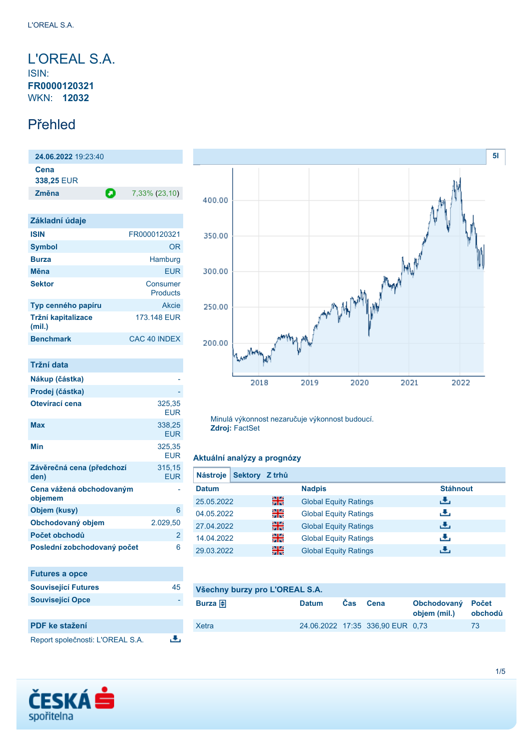<span id="page-0-0"></span>L'OREAL S.A. ISIN: **FR0000120321** WKN: **12032**

### Přehled

**24.06.2022** 19:23:40 **Cena 338,25** EUR **Změna 2.** 7,33% (23,10)

| Základní údaje               |                      |
|------------------------------|----------------------|
| <b>ISIN</b>                  | FR0000120321         |
| <b>Symbol</b>                | OR                   |
| <b>Burza</b>                 | Hamburg              |
| Měna                         | FUR                  |
| <b>Sektor</b>                | Consumer<br>Products |
| Typ cenného papíru           | Akcie                |
| Tržní kapitalizace<br>(mil.) | 173.148 EUR          |
| <b>Benchmark</b>             | CAC 40 INDEX         |

| Tržní data                          |                      |
|-------------------------------------|----------------------|
| Nákup (částka)                      |                      |
| Prodej (částka)                     |                      |
| Otevírací cena                      | 325,35<br>FUR        |
| Max                                 | 338,25<br><b>EUR</b> |
| Min                                 | 325,35<br><b>EUR</b> |
| Závěrečná cena (předchozí<br>den)   | 315,15<br><b>EUR</b> |
| Cena vážená obchodovaným<br>objemem |                      |
| Objem (kusy)                        | 6                    |
| Obchodovaný objem                   | 2.029,50             |
| Počet obchodů                       | 2                    |
| Poslední zobchodovaný počet         | 6                    |
| <b>Futures a opce</b>               |                      |

| <b>Futures a Opce</b>            |    |
|----------------------------------|----|
| <b>Související Futures</b>       | 45 |
| <b>Související Opce</b>          |    |
|                                  |    |
| <b>PDF</b> ke stažení            |    |
| Report společnosti: L'OREAL S.A. |    |



Minulá výkonnost nezaručuje výkonnost budoucí. **Zdroj:** FactSet

#### **Aktuální analýzy a prognózy**

| Sektory Z trhů<br><b>Nástroje</b> |    |                              |                 |
|-----------------------------------|----|------------------------------|-----------------|
| <b>Datum</b>                      |    | <b>Nadpis</b>                | <b>Stáhnout</b> |
| 25.05.2022                        | 읡쭍 | <b>Global Equity Ratings</b> | رالى            |
| 04.05.2022                        | 읡  | <b>Global Equity Ratings</b> | رنان            |
| 27.04.2022                        | 꾊  | <b>Global Equity Ratings</b> | رالى            |
| 14.04.2022                        | 읡  | <b>Global Equity Ratings</b> | رنان            |
| 29.03.2022                        | 을중 | <b>Global Equity Ratings</b> | æ,              |

| Všechny burzy pro L'OREAL S.A. |              |            |                                  |                                   |         |
|--------------------------------|--------------|------------|----------------------------------|-----------------------------------|---------|
| Burza $\bigoplus$              | <b>Datum</b> | <b>Cas</b> | Cena                             | Obchodovaný Počet<br>objem (mil.) | obchodů |
| Xetra                          |              |            | 24.06.2022 17:35 336,90 EUR 0.73 |                                   | 73      |
|                                |              |            |                                  |                                   |         |

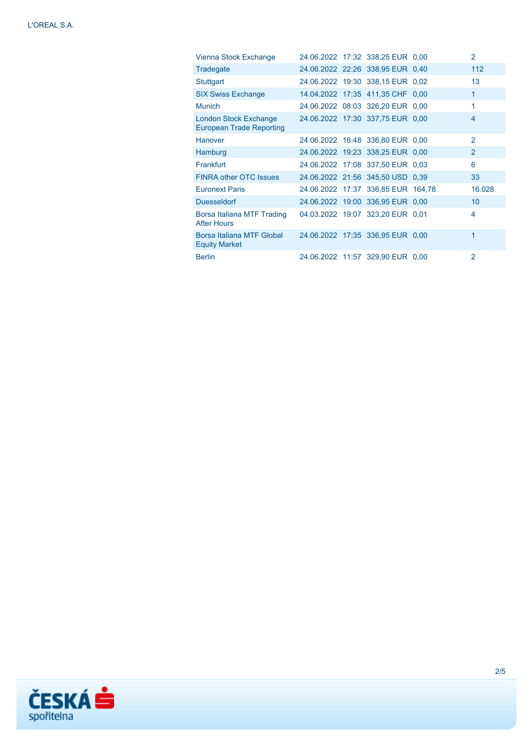| Vienna Stock Exchange                                    |  | 24.06.2022 17:32 338,25 EUR 0,00   | $\overline{2}$ |
|----------------------------------------------------------|--|------------------------------------|----------------|
| Tradegate                                                |  | 24.06.2022 22:26 338,95 EUR 0.40   | 112            |
| Stuttgart                                                |  | 24.06.2022 19:30 338.15 EUR 0.02   | 13             |
| <b>SIX Swiss Exchange</b>                                |  | 14.04.2022 17:35 411,35 CHF 0,00   | 1              |
| <b>Munich</b>                                            |  | 24.06.2022 08:03 326,20 EUR 0,00   | 1              |
| London Stock Exchange<br><b>European Trade Reporting</b> |  | 24.06.2022 17:30 337,75 EUR 0,00   | 4              |
| Hanover                                                  |  | 24.06.2022 16:48 336,80 EUR 0,00   | $\mathcal{P}$  |
| Hamburg                                                  |  | 24.06.2022 19:23 338,25 EUR 0,00   | $\overline{2}$ |
| Frankfurt                                                |  | 24.06.2022 17:08 337,50 EUR 0.03   | 6              |
| <b>FINRA other OTC Issues</b>                            |  | 24.06.2022 21:56 345,50 USD 0.39   | 33             |
| <b>Euronext Paris</b>                                    |  | 24.06.2022 17:37 336,85 EUR 164,78 | 16.028         |
| <b>Duesseldorf</b>                                       |  | 24.06.2022 19:00 336,95 EUR 0,00   | 10             |
| Borsa Italiana MTF Trading<br><b>After Hours</b>         |  | 04.03.2022 19:07 323,20 EUR 0,01   | 4              |
| Borsa Italiana MTF Global<br><b>Equity Market</b>        |  | 24.06.2022 17:35 336,95 EUR 0,00   | 1              |
| <b>Berlin</b>                                            |  | 24.06.2022 11:57 329,90 EUR 0,00   | $\overline{2}$ |

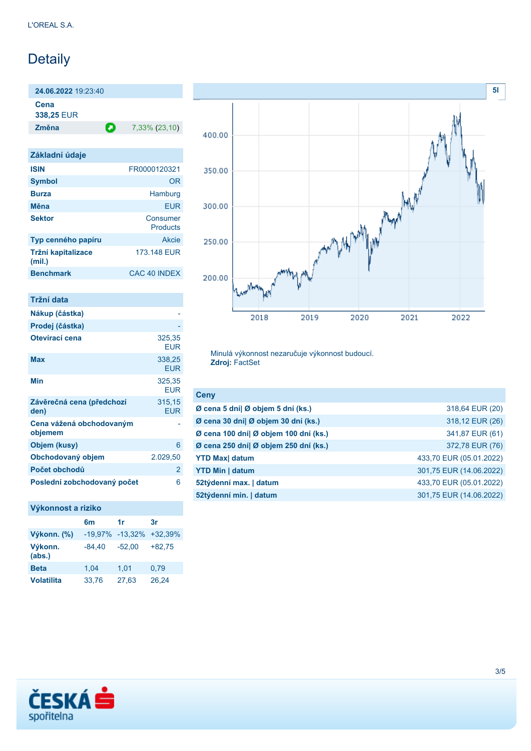# Detaily

**24.06.2022** 19:23:40

**Cena 338,25** EUR

**Změna** 7,33% (23,10)

| Základní údaje               |                      |
|------------------------------|----------------------|
| <b>ISIN</b>                  | FR0000120321         |
| <b>Symbol</b>                | 0R                   |
| <b>Burza</b>                 | Hamburg              |
| Měna                         | <b>FUR</b>           |
| <b>Sektor</b>                | Consumer<br>Products |
| Typ cenného papíru           | <b>Akcie</b>         |
| Tržní kapitalizace<br>(mil.) | 173.148 EUR          |
| <b>Benchmark</b>             | CAC 40 INDEX         |

| Tržní data                          |                      |
|-------------------------------------|----------------------|
| Nákup (částka)                      |                      |
| Prodej (částka)                     |                      |
| Otevírací cena                      | 325,35<br>EUR        |
| <b>Max</b>                          | 338,25<br><b>EUR</b> |
| Min                                 | 325,35<br>FUR        |
| Závěrečná cena (předchozí<br>den)   | 315,15<br><b>EUR</b> |
| Cena vážená obchodovaným<br>objemem |                      |
| Objem (kusy)                        | 6                    |
| Obchodovaný objem                   | 2.029,50             |
| Počet obchodů                       | 2                    |
| Poslední zobchodovaný počet         | 6                    |

#### **Výkonnost a riziko**

|                   | 6m                  | 1r       | 3r        |
|-------------------|---------------------|----------|-----------|
| Výkonn. (%)       | $-19.97\% -13.32\%$ |          | $+32,39%$ |
| Výkonn.<br>(abs.) | $-84.40$            | $-52.00$ | $+82.75$  |
| <b>Beta</b>       | 1,04                | 1,01     | 0,79      |
| <b>Volatilita</b> | 33,76               | 27,63    | 26,24     |



Minulá výkonnost nezaručuje výkonnost budoucí. **Zdroj:** FactSet

| <b>Ceny</b>                           |                         |
|---------------------------------------|-------------------------|
| Ø cena 5 dní  Ø objem 5 dní (ks.)     | 318,64 EUR (20)         |
| Ø cena 30 dní  Ø objem 30 dní (ks.)   | 318,12 EUR (26)         |
| Ø cena 100 dní  Ø objem 100 dní (ks.) | 341,87 EUR (61)         |
| Ø cena 250 dní  Ø objem 250 dní (ks.) | 372,78 EUR (76)         |
| <b>YTD Max</b> datum                  | 433,70 EUR (05.01.2022) |
| <b>YTD Min   datum</b>                | 301,75 EUR (14.06.2022) |
| 52týdenní max.   datum                | 433,70 EUR (05.01.2022) |
| 52týdenní min.   datum                | 301,75 EUR (14.06.2022) |

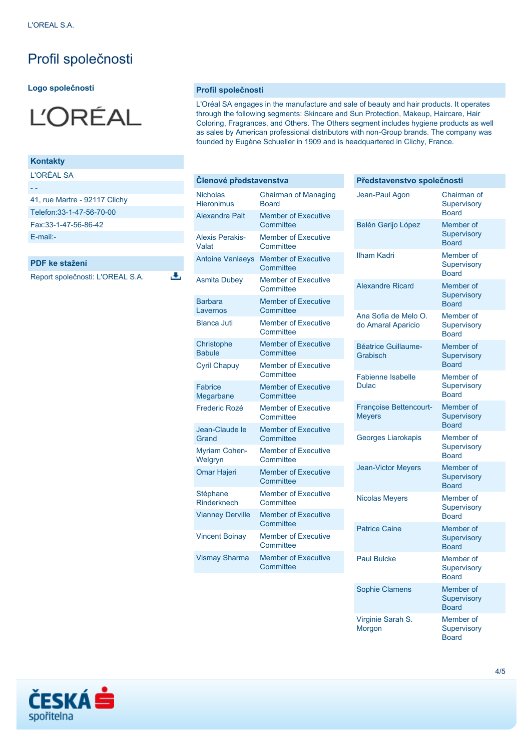## Profil společnosti

#### **Logo společnosti**



#### **Kontakty**

L'ORÉAL SA

| 41, rue Martre - 92117 Clichy |
|-------------------------------|
| Telefon: 33-1-47-56-70-00     |
| Fax:33-1-47-56-86-42          |
|                               |

[E-mail:-](mailto:-)

**PDF ke stažení**

Report společnosti: L'OREAL S.A.

**Profil společnosti**

J.

L'Oréal SA engages in the manufacture and sale of beauty and hair products. It operates through the following segments: Skincare and Sun Protection, Makeup, Haircare, Hair Coloring, Fragrances, and Others. The Others segment includes hygiene products as well as sales by American professional distributors with non-Group brands. The company was founded by Eugène Schueller in 1909 and is headquartered in Clichy, France.

| Členové představenstva               |                                             |  |
|--------------------------------------|---------------------------------------------|--|
| <b>Nicholas</b><br><b>Hieronimus</b> | <b>Chairman of Managing</b><br><b>Board</b> |  |
| Alexandra Palt                       | <b>Member of Executive</b><br>Committee     |  |
| <b>Alexis Perakis-</b><br>Valat      | <b>Member of Executive</b><br>Committee     |  |
| <b>Antoine Vanlaeys</b>              | <b>Member of Executive</b><br>Committee     |  |
| <b>Asmita Dubey</b>                  | <b>Member of Executive</b><br>Committee     |  |
| <b>Barbara</b><br>Lavernos           | <b>Member of Executive</b><br>Committee     |  |
| <b>Blanca Juti</b>                   | <b>Member of Executive</b><br>Committee     |  |
| Christophe<br><b>Babule</b>          | <b>Member of Executive</b><br>Committee     |  |
| <b>Cyril Chapuy</b>                  | <b>Member of Executive</b><br>Committee     |  |
| Fabrice<br>Megarbane                 | <b>Member of Executive</b><br>Committee     |  |
| Frederic Rozé                        | <b>Member of Executive</b><br>Committee     |  |
| Jean-Claude le<br>Grand              | <b>Member of Executive</b><br>Committee     |  |
| <b>Myriam Cohen-</b><br>Welgryn      | <b>Member of Executive</b><br>Committee     |  |
| <b>Omar Hajeri</b>                   | <b>Member of Executive</b><br>Committee     |  |
| Stéphane<br>Rinderknech              | <b>Member of Executive</b><br>Committee     |  |
| <b>Vianney Derville</b>              | <b>Member of Executive</b><br>Committee     |  |
| <b>Vincent Boinay</b>                | <b>Member of Executive</b><br>Committee     |  |
| <b>Vismay Sharma</b>                 | <b>Member of Executive</b><br>Committee     |  |

| Představenstvo společnosti                     |                                                 |
|------------------------------------------------|-------------------------------------------------|
| Jean-Paul Agon                                 | Chairman of<br>Supervisory<br><b>Board</b>      |
| Belén Garijo López                             | Member of<br><b>Supervisory</b><br><b>Board</b> |
| <b>Ilham Kadri</b>                             | Member of<br>Supervisory<br><b>Board</b>        |
| <b>Alexandre Ricard</b>                        | Member of<br><b>Supervisory</b><br><b>Board</b> |
| Ana Sofia de Melo O.<br>do Amaral Aparicio     | Member of<br>Supervisory<br><b>Board</b>        |
| <b>Béatrice Guillaume-</b><br>Grabisch         | Member of<br><b>Supervisory</b><br><b>Board</b> |
| <b>Fabienne Isabelle</b><br><b>Dulac</b>       | Member of<br>Supervisory<br><b>Board</b>        |
| <b>Françoise Bettencourt-</b><br><b>Meyers</b> | Member of<br><b>Supervisory</b><br><b>Board</b> |
| Georges Liarokapis                             | Member of<br>Supervisory<br><b>Board</b>        |
| <b>Jean-Victor Meyers</b>                      | Member of<br>Supervisory<br><b>Board</b>        |
| <b>Nicolas Meyers</b>                          | Member of<br>Supervisory<br><b>Board</b>        |
| <b>Patrice Caine</b>                           | Member of<br>Supervisory<br><b>Board</b>        |
| <b>Paul Bulcke</b>                             | Member of<br>Supervisory<br><b>Board</b>        |
| <b>Sophie Clamens</b>                          | Member of<br>Supervisory<br><b>Board</b>        |
| Virginie Sarah S.<br>Morgon                    | Member of<br>Supervisory<br><b>Board</b>        |